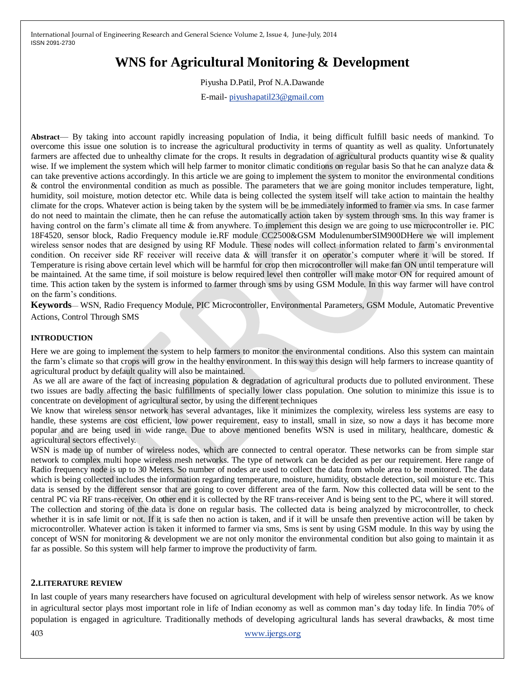# **WNS for Agricultural Monitoring & Development**

Piyusha D.Patil, Prof N.A.Dawande

E-mail- [piyushapatil23@gmail.com](mailto:piyushapatil23@gmail.com)

**Abstract**— By taking into account rapidly increasing population of India, it being difficult fulfill basic needs of mankind. To overcome this issue one solution is to increase the agricultural productivity in terms of quantity as well as quality. Unfortunately farmers are affected due to unhealthy climate for the crops. It results in degradation of agricultural products quantity wise & quality wise. If we implement the system which will help farmer to monitor climatic conditions on regular basis So that he can analyze data  $\&$ can take preventive actions accordingly. In this article we are going to implement the system to monitor the environmental conditions & control the environmental condition as much as possible. The parameters that we are going monitor includes temperature, light, humidity, soil moisture, motion detector etc. While data is being collected the system itself will take action to maintain the healthy climate for the crops. Whatever action is being taken by the system will be be immediately informed to framer via sms. In case farmer do not need to maintain the climate, then he can refuse the automatically action taken by system through sms. In this way framer is having control on the farm's climate all time & from anywhere. To implement this design we are going to use microcontroller ie. PIC 18F4520, sensor block, Radio Frequency module ie.RF module CC2500&GSM ModulenumberSIM900DHere we will implement wireless sensor nodes that are designed by using RF Module. These nodes will collect information related to farm's environmental condition. On receiver side RF receiver will receive data & will transfer it on operator's computer where it will be stored. If Temperature is rising above certain level which will be harmful for crop then microcontroller will make fan ON until temperature will be maintained. At the same time, if soil moisture is below required level then controller will make motor ON for required amount of time. This action taken by the system is informed to farmer through sms by using GSM Module. In this way farmer will have control on the farm's conditions.

**Keywords**— WSN, Radio Frequency Module, PIC Microcontroller, Environmental Parameters, GSM Module, Automatic Preventive Actions, Control Through SMS

#### **INTRODUCTION**

Here we are going to implement the system to help farmers to monitor the environmental conditions. Also this system can maintain the farm's climate so that crops will grow in the healthy environment. In this way this design will help farmers to increase quantity of agricultural product by default quality will also be maintained.

As we all are aware of the fact of increasing population & degradation of agricultural products due to polluted environment. These two issues are badly affecting the basic fulfillments of specially lower class population. One solution to minimize this issue is to concentrate on development of agricultural sector, by using the different techniques

We know that wireless sensor network has several advantages, like it minimizes the complexity, wireless less systems are easy to handle, these systems are cost efficient, low power requirement, easy to install, small in size, so now a days it has become more popular and are being used in wide range. Due to above mentioned benefits WSN is used in military, healthcare, domestic  $\&$ agricultural sectors effectively.

WSN is made up of number of wireless nodes, which are connected to central operator. These networks can be from simple star network to complex multi hope wireless mesh networks. The type of network can be decided as per our requirement. Here range of Radio frequency node is up to 30 Meters. So number of nodes are used to collect the data from whole area to be monitored. The data which is being collected includes the information regarding temperature, moisture, humidity, obstacle detection, soil moisture etc. This data is sensed by the different sensor that are going to cover different area of the farm. Now this collected data will be sent to the central PC via RF trans-receiver. On other end it is collected by the RF trans-receiver And is being sent to the PC, where it will stored. The collection and storing of the data is done on regular basis. The collected data is being analyzed by microcontroller, to check whether it is in safe limit or not. If it is safe then no action is taken, and if it will be unsafe then preventive action will be taken by microcontroller. Whatever action is taken it informed to farmer via sms, Sms is sent by using GSM module. In this way by using the concept of WSN for monitoring & development we are not only monitor the environmental condition but also going to maintain it as far as possible. So this system will help farmer to improve the productivity of farm.

#### **2.LITERATURE REVIEW**

In last couple of years many researchers have focused on agricultural development with help of wireless sensor network. As we know in agricultural sector plays most important role in life of Indian economy as well as common man's day today life. In Iindia 70% of population is engaged in agriculture. Traditionally methods of developing agricultural lands has several drawbacks, & most time

403 [www.ijergs.org](http://www.ijergs.org/)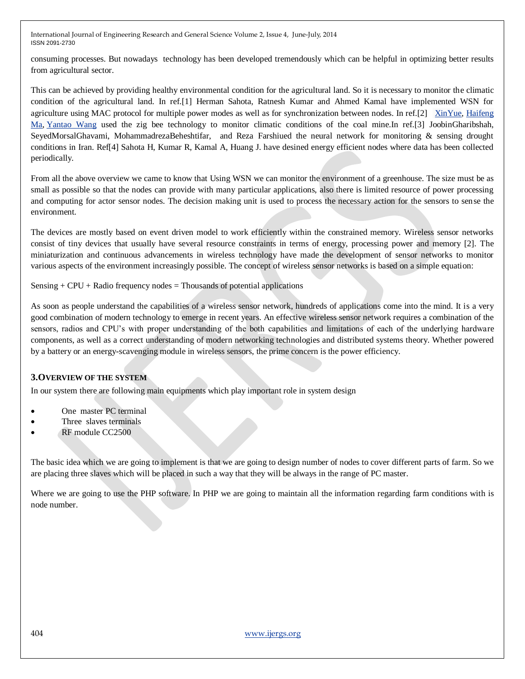consuming processes. But nowadays technology has been developed tremendously which can be helpful in optimizing better results from agricultural sector.

This can be achieved by providing healthy environmental condition for the agricultural land. So it is necessary to monitor the climatic condition of the agricultural land. In ref.[1] Herman Sahota, Ratnesh Kumar and Ahmed Kamal have implemented WSN for agriculture using MAC protocol for multiple power modes as well as for synchronization between nodes. In ref.[2] [XinYue,](http://ieeexplore.ieee.org/search/searchresult.jsp?searchWithin=p_Authors:.QT.Xin%20Yue.QT.&searchWithin=p_Author_Ids:37411769400&newsearch=true) [Haifeng](http://ieeexplore.ieee.org/search/searchresult.jsp?searchWithin=p_Authors:.QT.Haifeng%20Ma.QT.&searchWithin=p_Author_Ids:37535936700&newsearch=true)  [Ma,](http://ieeexplore.ieee.org/search/searchresult.jsp?searchWithin=p_Authors:.QT.Haifeng%20Ma.QT.&searchWithin=p_Author_Ids:37535936700&newsearch=true) [Yantao Wang](http://ieeexplore.ieee.org/search/searchresult.jsp?searchWithin=p_Authors:.QT.Yantao%20Wang.QT.&searchWithin=p_Author_Ids:37407557700&newsearch=true) used the zig bee technology to monitor climatic conditions of the coal mine.In ref.[3] JoobinGharibshah, SeyedMorsalGhavami, MohammadrezaBeheshtifar, and Reza Farshiued the neural network for monitoring & sensing drought conditions in Iran. Ref[4] Sahota H, Kumar R, Kamal A, Huang J. have desined energy efficient nodes where data has been collected periodically.

From all the above overview we came to know that Using WSN we can monitor the environment of a greenhouse. The size must be as small as possible so that the nodes can provide with many particular applications, also there is limited resource of power processing and computing for actor sensor nodes. The decision making unit is used to process the necessary action for the sensors to sense the environment.

The devices are mostly based on event driven model to work efficiently within the constrained memory. Wireless sensor networks consist of tiny devices that usually have several resource constraints in terms of energy, processing power and memory [2]. The miniaturization and continuous advancements in wireless technology have made the development of sensor networks to monitor various aspects of the environment increasingly possible. The concept of wireless sensor networks is based on a simple equation:

Sensing  $+$  CPU  $+$  Radio frequency nodes  $=$  Thousands of potential applications

As soon as people understand the capabilities of a wireless sensor network, hundreds of applications come into the mind. It is a very good combination of modern technology to emerge in recent years. An effective wireless sensor network requires a combination of the sensors, radios and CPU's with proper understanding of the both capabilities and limitations of each of the underlying hardware components, as well as a correct understanding of modern networking technologies and distributed systems theory. Whether powered by a battery or an energy-scavenging module in wireless sensors, the prime concern is the power efficiency.

## **3.OVERVIEW OF THE SYSTEM**

In our system there are following main equipments which play important role in system design

- One master PC terminal
- Three slaves terminals
- RF module CC2500

The basic idea which we are going to implement is that we are going to design number of nodes to cover different parts of farm. So we are placing three slaves which will be placed in such a way that they will be always in the range of PC master.

Where we are going to use the PHP software. In PHP we are going to maintain all the information regarding farm conditions with is node number.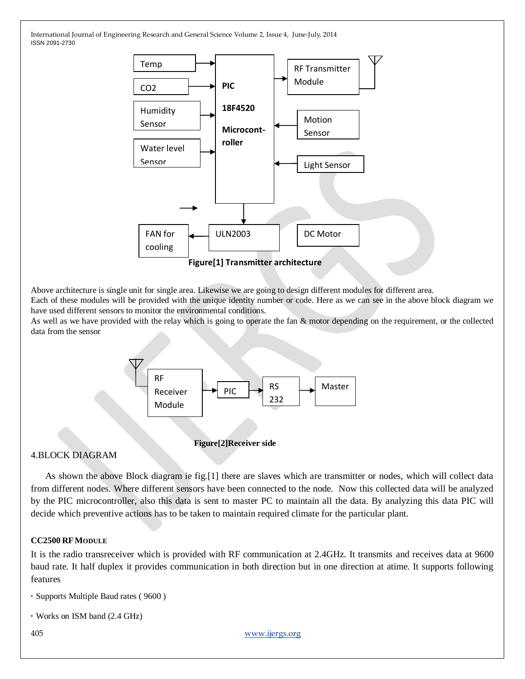

Above architecture is single unit for single area. Likewise we are going to design different modules for different area.

Each of these modules will be provided with the unique identity number or code. Here as we can see in the above block diagram we have used different sensors to monitor the environmental conditions.

As well as we have provided with the relay which is going to operate the fan & motor depending on the requirement, or the collected data from the sensor



## **Figure[2]Receiver side**

CC2500

# 4.BLOCK DIAGRAM

 As shown the above Block diagram ie fig.[1] there are slaves which are transmitter or nodes, which will collect data from different nodes. Where different sensors have been connected to the node. Now this collected data will be analyzed by the PIC microcontroller, also this data is sent to master PC to maintain all the data. By analyzing this data PIC will decide which preventive actions has to be taken to maintain required climate for the particular plant.

## **CC2500 RFMODULE**

It is the radio transreceiver which is provided with RF communication at 2.4GHz. It transmits and receives data at 9600 baud rate. It half duplex it provides communication in both direction but in one direction at atime. It supports following features

```
· Supports Multiple Baud rates ( 9600 )
```

```
· Works on ISM band (2.4 GHz)
```
405 [www.ijergs.org](http://www.ijergs.org/)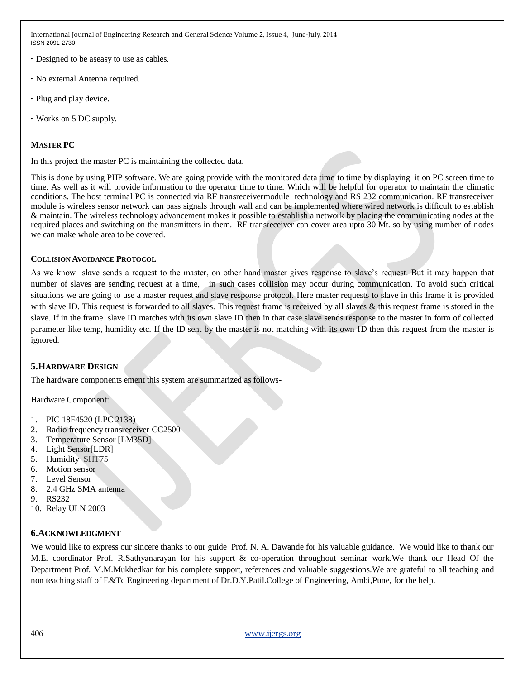- **·** Designed to be aseasy to use as cables.
- **·** No external Antenna required.
- **·** Plug and play device.
- **·** Works on 5 DC supply.

#### **MASTER PC**

In this project the master PC is maintaining the collected data.

This is done by using PHP software. We are going provide with the monitored data time to time by displaying it on PC screen time to time. As well as it will provide information to the operator time to time. Which will be helpful for operator to maintain the climatic conditions. The host terminal PC is connected via RF transreceivermodule technology and RS 232 communication. RF transreceiver module is wireless sensor network can pass signals through wall and can be implemented where wired network is difficult to establish & maintain. The wireless technology advancement makes it possible to establish a network by placing the communicating nodes at the required places and switching on the transmitters in them. RF transreceiver can cover area upto 30 Mt. so by using number of nodes we can make whole area to be covered.

#### **COLLISION AVOIDANCE PROTOCOL**

As we know slave sends a request to the master, on other hand master gives response to slave's request. But it may happen that number of slaves are sending request at a time, in such cases collision may occur during communication. To avoid such critical situations we are going to use a master request and slave response protocol. Here master requests to slave in this frame it is provided with slave ID. This request is forwarded to all slaves. This request frame is received by all slaves & this request frame is stored in the slave. If in the frame slave ID matches with its own slave ID then in that case slave sends response to the master in form of collected parameter like temp, humidity etc. If the ID sent by the master.is not matching with its own ID then this request from the master is ignored.

## **5.HARDWARE DESIGN**

The hardware components ement this system are summarized as follows-

Hardware Component:

- 1. PIC 18F4520 (LPC 2138)
- 2. Radio frequency transreceiver CC2500
- 3. Temperature Sensor [LM35D]
- 4. Light Sensor[LDR]
- 5. Humidity SHT75
- 6. Motion sensor
- 7. Level Sensor
- 8. 2.4 GHz SMA antenna
- 9. RS232
- 10. Relay ULN 2003

# **6.ACKNOWLEDGMENT**

We would like to express our sincere thanks to our guide Prof. N. A. Dawande for his valuable guidance. We would like to thank our M.E. coordinator Prof. R.Sathyanarayan for his support & co-operation throughout seminar work.We thank our Head Of the Department Prof. M.M.Mukhedkar for his complete support, references and valuable suggestions.We are grateful to all teaching and non teaching staff of E&Tc Engineering department of Dr.D.Y.Patil.College of Engineering, Ambi,Pune, for the help.